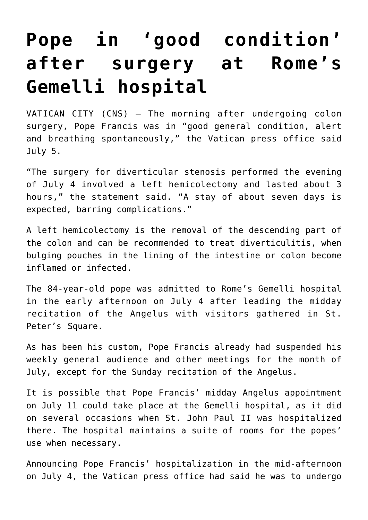## **[Pope in 'good condition'](https://www.osvnews.com/2021/07/05/pope-in-good-condition-after-surgery-at-romes-gemelli-hospital/) [after surgery at Rome's](https://www.osvnews.com/2021/07/05/pope-in-good-condition-after-surgery-at-romes-gemelli-hospital/) [Gemelli hospital](https://www.osvnews.com/2021/07/05/pope-in-good-condition-after-surgery-at-romes-gemelli-hospital/)**

VATICAN CITY (CNS) — The morning after undergoing colon surgery, Pope Francis was in "good general condition, alert and breathing spontaneously," the Vatican press office said July 5.

"The surgery for diverticular stenosis performed the evening of July 4 involved a left hemicolectomy and lasted about 3 hours," the statement said. "A stay of about seven days is expected, barring complications."

A left hemicolectomy is the removal of the descending part of the colon and can be recommended to treat diverticulitis, when bulging pouches in the lining of the intestine or colon become inflamed or infected.

The 84-year-old pope was admitted to Rome's Gemelli hospital in the early afternoon on July 4 after leading the midday recitation of the Angelus with visitors gathered in St. Peter's Square.

As has been his custom, Pope Francis already had suspended his weekly general audience and other meetings for the month of July, except for the Sunday recitation of the Angelus.

It is possible that Pope Francis' midday Angelus appointment on July 11 could take place at the Gemelli hospital, as it did on several occasions when St. John Paul II was hospitalized there. The hospital maintains a suite of rooms for the popes' use when necessary.

Announcing Pope Francis' hospitalization in the mid-afternoon on July 4, the Vatican press office had said he was to undergo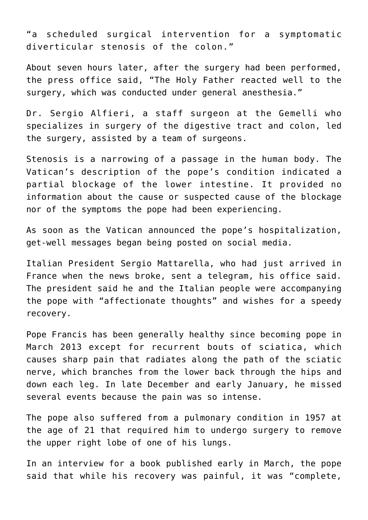"a scheduled surgical intervention for a symptomatic diverticular stenosis of the colon."

About seven hours later, after the surgery had been performed, the press office said, "The Holy Father reacted well to the surgery, which was conducted under general anesthesia."

Dr. Sergio Alfieri, a staff surgeon at the Gemelli who specializes in surgery of the digestive tract and colon, led the surgery, assisted by a team of surgeons.

Stenosis is a narrowing of a passage in the human body. The Vatican's description of the pope's condition indicated a partial blockage of the lower intestine. It provided no information about the cause or suspected cause of the blockage nor of the symptoms the pope had been experiencing.

As soon as the Vatican announced the pope's hospitalization, get-well messages began being posted on social media.

Italian President Sergio Mattarella, who had just arrived in France when the news broke, sent a telegram, his office said. The president said he and the Italian people were accompanying the pope with "affectionate thoughts" and wishes for a speedy recovery.

Pope Francis has been generally healthy since becoming pope in March 2013 except for recurrent bouts of sciatica, which causes sharp pain that radiates along the path of the sciatic nerve, which branches from the lower back through the hips and down each leg. In late December and early January, he missed several events because the pain was so intense.

The pope also suffered from a pulmonary condition in 1957 at the age of 21 that required him to undergo surgery to remove the upper right lobe of one of his lungs.

In an interview for a book published early in March, the pope said that while his recovery was painful, it was "complete,